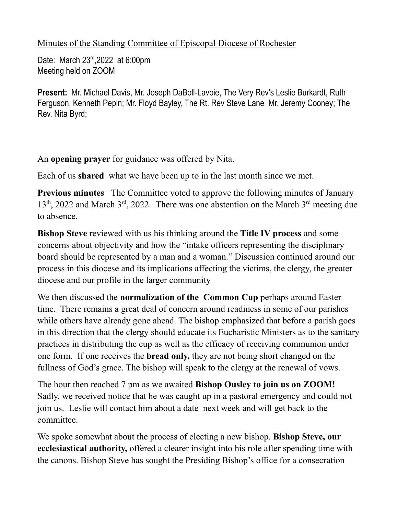## Minutes of the Standing Committee of Episcopal Diocese of Rochester

Date: March 23<sup>rd</sup>, 2022 at 6:00pm Meeting held on ZOOM

**Present:** Mr. Michael Davis, Mr. Joseph DaBoll-Lavoie, The Very Rev's Leslie Burkardt, Ruth Ferguson, Kenneth Pepin; Mr. Floyd Bayley, The Rt. Rev Steve Lane Mr. Jeremy Cooney; The Rev. Nita Byrd;

An **opening prayer** for guidance was offered by Nita.

Each of us **shared** what we have been up to in the last month since we met.

**Previous minutes** The Committee voted to approve the following minutes of January 13<sup>th</sup>, 2022 and March 3<sup>rd</sup>, 2022. There was one abstention on the March 3<sup>rd</sup> meeting due to absence.

**Bishop Steve** reviewed with us his thinking around the **Title IV process** and some concerns about objectivity and how the "intake officers representing the disciplinary board should be represented by a man and a woman." Discussion continued around our process in this diocese and its implications affecting the victims, the clergy, the greater diocese and our profile in the larger community

We then discussed the **normalization of the Common Cup** perhaps around Easter time. There remains a great deal of concern around readiness in some of our parishes while others have already gone ahead. The bishop emphasized that before a parish goes in this direction that the clergy should educate its Eucharistic Ministers as to the sanitary practices in distributing the cup as well as the efficacy of receiving communion under one form. If one receives the **bread only,** they are not being short changed on the fullness of God's grace. The bishop will speak to the clergy at the renewal of vows.

The hour then reached 7 pm as we awaited **Bishop Ousley to join us on ZOOM!** Sadly, we received notice that he was caught up in a pastoral emergency and could not join us. Leslie will contact him about a date next week and will get back to the committee.

We spoke somewhat about the process of electing a new bishop. **Bishop Steve, our ecclesiastical authority,** offered a clearer insight into his role after spending time with the canons. Bishop Steve has sought the Presiding Bishop's office for a consecration